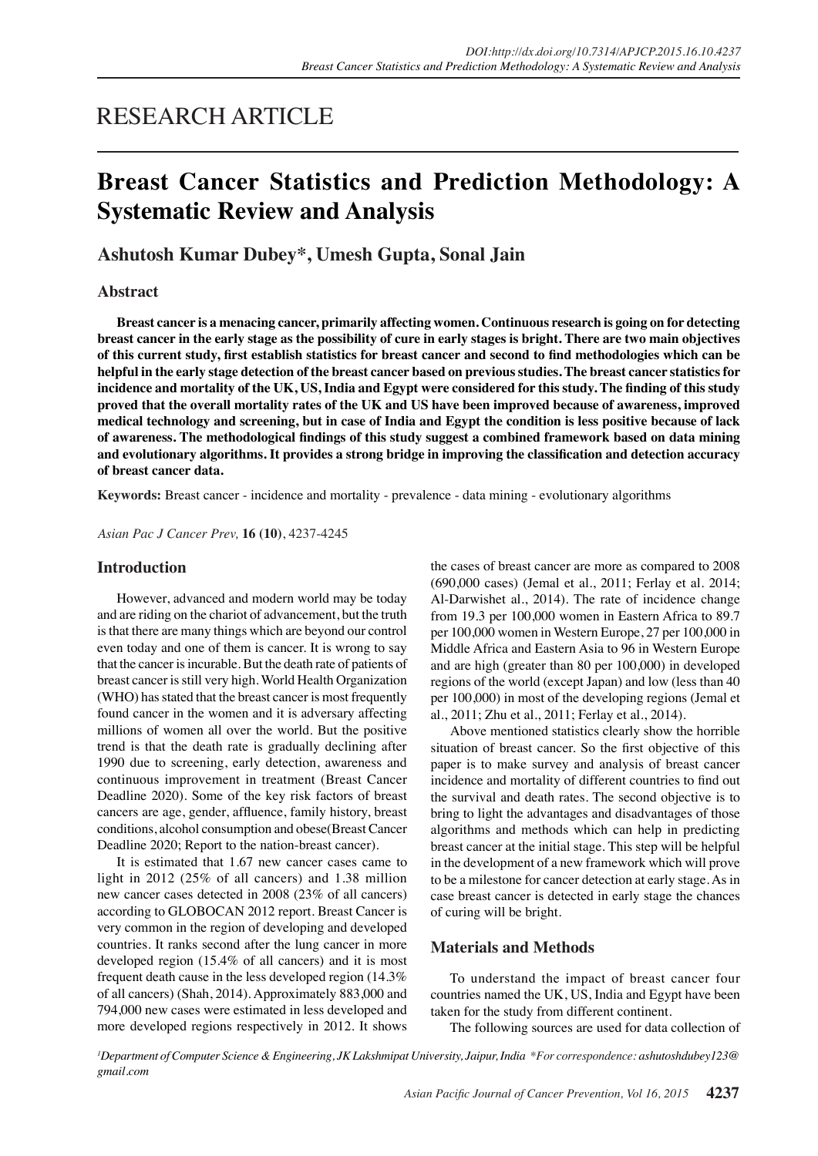## RESEARCH ARTICLE

# **Breast Cancer Statistics and Prediction Methodology: A Systematic Review and Analysis**

## **Ashutosh Kumar Dubey\*, Umesh Gupta, Sonal Jain**

## **Abstract**

**Breast cancer is a menacing cancer, primarily affecting women. Continuous research is going on for detecting breast cancer in the early stage as the possibility of cure in early stages is bright. There are two main objectives of this current study, first establish statistics for breast cancer and second to find methodologies which can be helpful in the early stage detection of the breast cancer based on previous studies. The breast cancer statistics for incidence and mortality of the UK, US, India and Egypt were considered for this study. The finding of this study proved that the overall mortality rates of the UK and US have been improved because of awareness, improved medical technology and screening, but in case of India and Egypt the condition is less positive because of lack of awareness. The methodological findings of this study suggest a combined framework based on data mining and evolutionary algorithms. It provides a strong bridge in improving the classification and detection accuracy of breast cancer data.**

**Keywords:** Breast cancer - incidence and mortality - prevalence - data mining - evolutionary algorithms

*Asian Pac J Cancer Prev,* **16 (10)**, 4237-4245

## **Introduction**

However, advanced and modern world may be today and are riding on the chariot of advancement, but the truth is that there are many things which are beyond our control even today and one of them is cancer. It is wrong to say that the cancer is incurable. But the death rate of patients of breast cancer is still very high. World Health Organization (WHO) has stated that the breast cancer is most frequently found cancer in the women and it is adversary affecting millions of women all over the world. But the positive trend is that the death rate is gradually declining after 1990 due to screening, early detection, awareness and continuous improvement in treatment (Breast Cancer Deadline 2020). Some of the key risk factors of breast cancers are age, gender, affluence, family history, breast conditions, alcohol consumption and obese(Breast Cancer Deadline 2020; Report to the nation-breast cancer).

It is estimated that 1.67 new cancer cases came to light in 2012 (25% of all cancers) and 1.38 million new cancer cases detected in 2008 (23% of all cancers) according to GLOBOCAN 2012 report. Breast Cancer is very common in the region of developing and developed countries. It ranks second after the lung cancer in more developed region (15.4% of all cancers) and it is most frequent death cause in the less developed region (14.3% of all cancers) (Shah, 2014). Approximately 883,000 and 794,000 new cases were estimated in less developed and more developed regions respectively in 2012. It shows

the cases of breast cancer are more as compared to 2008 (690,000 cases) (Jemal et al., 2011; Ferlay et al. 2014; Al-Darwishet al., 2014). The rate of incidence change from 19.3 per 100,000 women in Eastern Africa to 89.7 per 100,000 women in Western Europe, 27 per 100,000 in Middle Africa and Eastern Asia to 96 in Western Europe and are high (greater than 80 per 100,000) in developed regions of the world (except Japan) and low (less than 40 per 100,000) in most of the developing regions (Jemal et al., 2011; Zhu et al., 2011; Ferlay et al., 2014).

Above mentioned statistics clearly show the horrible situation of breast cancer. So the first objective of this paper is to make survey and analysis of breast cancer incidence and mortality of different countries to find out the survival and death rates. The second objective is to bring to light the advantages and disadvantages of those algorithms and methods which can help in predicting breast cancer at the initial stage. This step will be helpful in the development of a new framework which will prove to be a milestone for cancer detection at early stage. As in case breast cancer is detected in early stage the chances of curing will be bright.

### **Materials and Methods**

To understand the impact of breast cancer four countries named the UK, US, India and Egypt have been taken for the study from different continent.

The following sources are used for data collection of

*1 Department of Computer Science & Engineering, JK Lakshmipat University, Jaipur, India \*For correspondence: ashutoshdubey123@ gmail.com*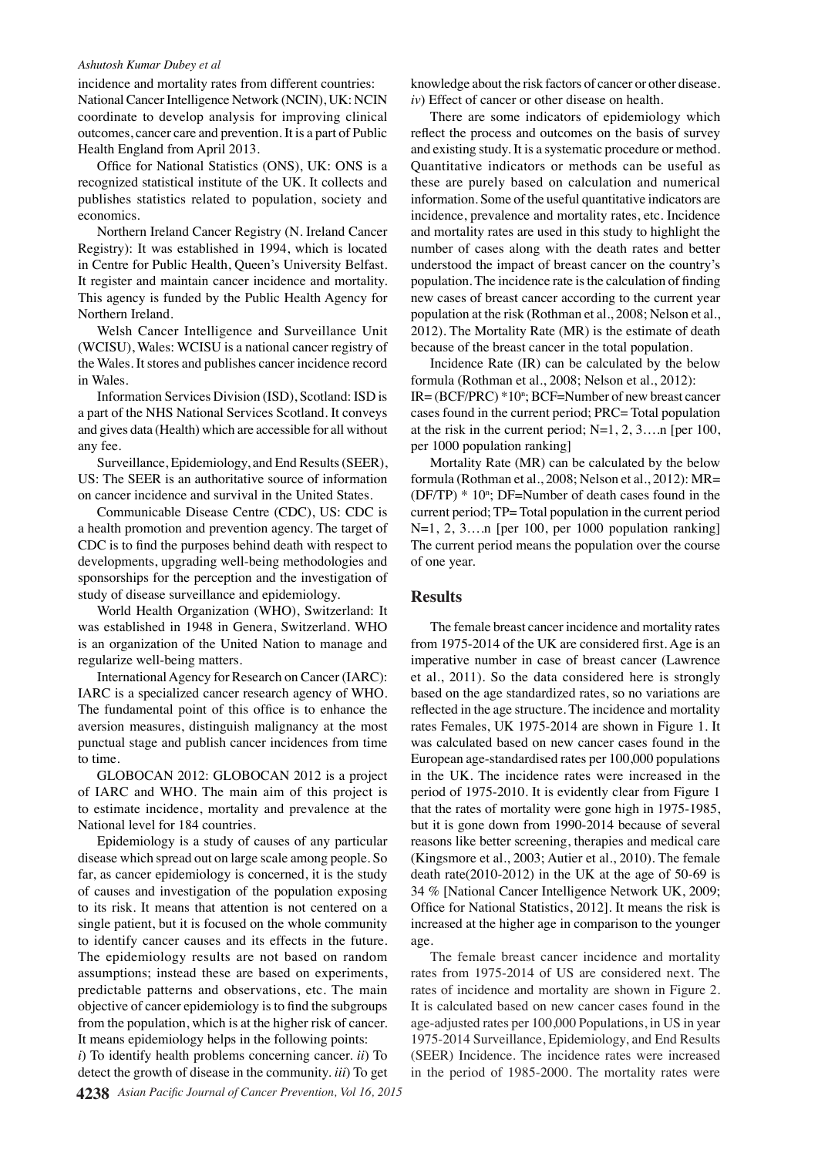#### *Ashutosh Kumar Dubey et al*

incidence and mortality rates from different countries: National Cancer Intelligence Network (NCIN), UK: NCIN coordinate to develop analysis for improving clinical outcomes, cancer care and prevention. It is a part of Public Health England from April 2013.

Office for National Statistics (ONS), UK: ONS is a recognized statistical institute of the UK. It collects and publishes statistics related to population, society and economics.

Northern Ireland Cancer Registry (N. Ireland Cancer Registry): It was established in 1994, which is located in Centre for Public Health, Queen's University Belfast. It register and maintain cancer incidence and mortality. This agency is funded by the Public Health Agency for Northern Ireland.

Welsh Cancer Intelligence and Surveillance Unit (WCISU), Wales: WCISU is a national cancer registry of the Wales. It stores and publishes cancer incidence record in Wales.

Information Services Division (ISD), Scotland: ISD is a part of the NHS National Services Scotland. It conveys and gives data (Health) which are accessible for all without any fee.

Surveillance, Epidemiology, and End Results (SEER), US: The SEER is an authoritative source of information on cancer incidence and survival in the United States.

Communicable Disease Centre (CDC), US: CDC is a health promotion and prevention agency. The target of CDC is to find the purposes behind death with respect to developments, upgrading well-being methodologies and sponsorships for the perception and the investigation of study of disease surveillance and epidemiology.

World Health Organization (WHO), Switzerland: It was established in 1948 in Genera, Switzerland. WHO is an organization of the United Nation to manage and regularize well-being matters.

International Agency for Research on Cancer (IARC): IARC is a specialized cancer research agency of WHO. The fundamental point of this office is to enhance the aversion measures, distinguish malignancy at the most punctual stage and publish cancer incidences from time to time.

GLOBOCAN 2012: GLOBOCAN 2012 is a project of IARC and WHO. The main aim of this project is to estimate incidence, mortality and prevalence at the National level for 184 countries.

Epidemiology is a study of causes of any particular disease which spread out on large scale among people. So far, as cancer epidemiology is concerned, it is the study of causes and investigation of the population exposing to its risk. It means that attention is not centered on a single patient, but it is focused on the whole community to identify cancer causes and its effects in the future. The epidemiology results are not based on random assumptions; instead these are based on experiments, predictable patterns and observations, etc. The main objective of cancer epidemiology is to find the subgroups from the population, which is at the higher risk of cancer. It means epidemiology helps in the following points:

*i*) To identify health problems concerning cancer. *ii*) To detect the growth of disease in the community. *iii*) To get

knowledge about the risk factors of cancer or other disease. *iv*) Effect of cancer or other disease on health.

There are some indicators of epidemiology which reflect the process and outcomes on the basis of survey and existing study. It is a systematic procedure or method. Quantitative indicators or methods can be useful as these are purely based on calculation and numerical information. Some of the useful quantitative indicators are incidence, prevalence and mortality rates, etc. Incidence and mortality rates are used in this study to highlight the number of cases along with the death rates and better understood the impact of breast cancer on the country's population. The incidence rate is the calculation of finding new cases of breast cancer according to the current year population at the risk (Rothman et al., 2008; Nelson et al., 2012). The Mortality Rate (MR) is the estimate of death because of the breast cancer in the total population.

Incidence Rate (IR) can be calculated by the below formula (Rothman et al., 2008; Nelson et al., 2012):  $IR = (BCF/PRC) * 10^n$ ;  $BCF = Number of new breast cancer$ cases found in the current period; PRC= Total population at the risk in the current period;  $N=1, 2, 3...$  [per 100, per 1000 population ranking]

Mortality Rate (MR) can be calculated by the below formula (Rothman et al., 2008; Nelson et al., 2012): MR=  $(DF/TP) * 10^n$ ; DF=Number of death cases found in the current period; TP= Total population in the current period N=1, 2, 3... n [per 100, per 1000 population ranking] The current period means the population over the course of one year.

#### **Results**

The female breast cancer incidence and mortality rates from 1975-2014 of the UK are considered first. Age is an imperative number in case of breast cancer (Lawrence et al., 2011). So the data considered here is strongly based on the age standardized rates, so no variations are reflected in the age structure. The incidence and mortality rates Females, UK 1975-2014 are shown in Figure 1. It was calculated based on new cancer cases found in the European age-standardised rates per 100,000 populations in the UK. The incidence rates were increased in the period of 1975-2010. It is evidently clear from Figure 1 that the rates of mortality were gone high in 1975-1985, but it is gone down from 1990-2014 because of several reasons like better screening, therapies and medical care (Kingsmore et al., 2003; Autier et al., 2010). The female death rate(2010-2012) in the UK at the age of 50-69 is 34 % [National Cancer Intelligence Network UK, 2009; Office for National Statistics, 2012]. It means the risk is increased at the higher age in comparison to the younger age.

The female breast cancer incidence and mortality rates from 1975-2014 of US are considered next. The rates of incidence and mortality are shown in Figure 2. It is calculated based on new cancer cases found in the age-adjusted rates per 100,000 Populations, in US in year 1975-2014 Surveillance, Epidemiology, and End Results (SEER) Incidence. The incidence rates were increased in the period of 1985-2000. The mortality rates were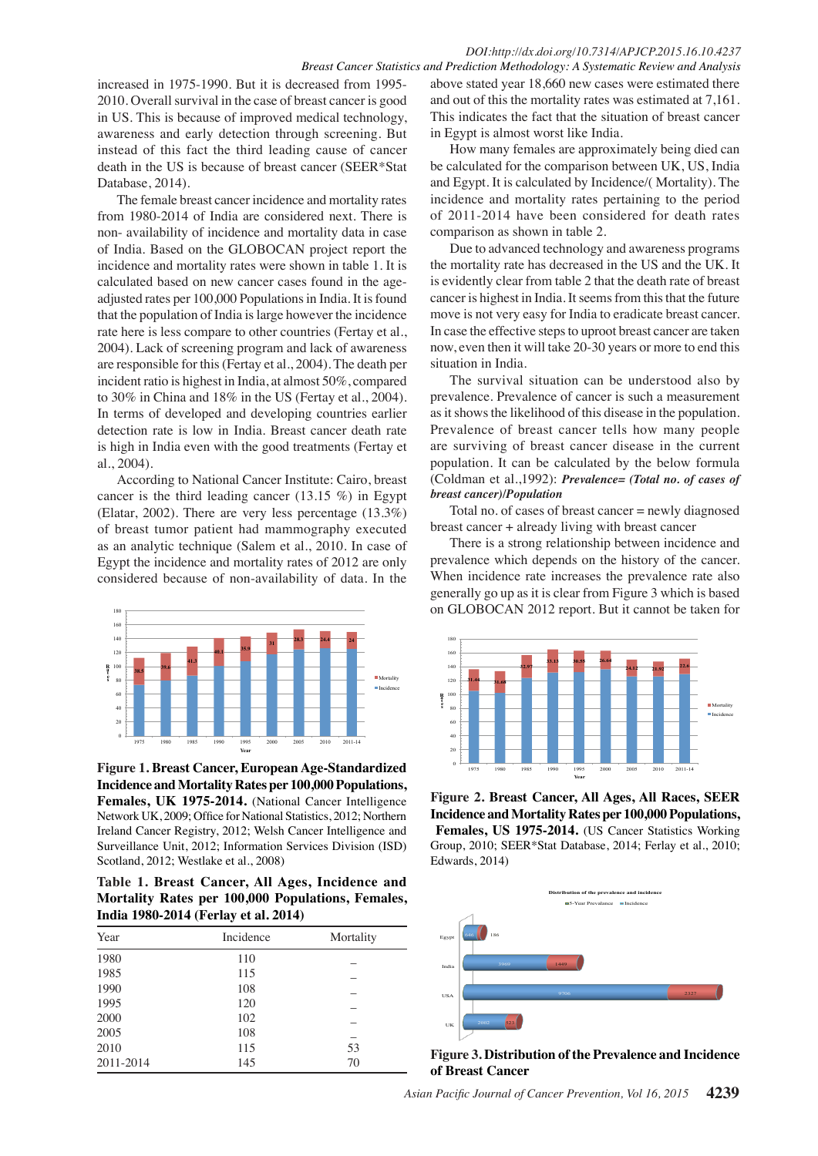#### *DOI:http://dx.doi.org/10.7314/APJCP.2015.16.10.4237 Breast Cancer Statistics and Prediction Methodology: A Systematic Review and Analysis*

increased in 1975-1990. But it is decreased from 1995- 2010. Overall survival in the case of breast cancer is good in US. This is because of improved medical technology, awareness and early detection through screening. But instead of this fact the third leading cause of cancer death in the US is because of breast cancer (SEER\*Stat Database, 2014).

The female breast cancer incidence and mortality rates from 1980-2014 of India are considered next. There is non- availability of incidence and mortality data in case of India. Based on the GLOBOCAN project report the incidence and mortality rates were shown in table 1. It is calculated based on new cancer cases found in the ageadjusted rates per 100,000 Populations in India. It is found that the population of India is large however the incidence rate here is less compare to other countries (Fertay et al., 2004). Lack of screening program and lack of awareness are responsible for this (Fertay et al., 2004). The death per incident ratio is highest in India, at almost 50%, compared to 30% in China and 18% in the US (Fertay et al., 2004). In terms of developed and developing countries earlier detection rate is low in India. Breast cancer death rate is high in India even with the good treatments (Fertay et al., 2004).

According to National Cancer Institute: Cairo, breast cancer is the third leading cancer (13.15 %) in Egypt (Elatar, 2002). There are very less percentage (13.3%) of breast tumor patient had mammography executed as an analytic technique (Salem et al., 2010. In case of Egypt the incidence and mortality rates of 2012 are only considered because of non-availability of data. In the



**Figure 1. Breast Cancer, European Age-Standardized Incidence and Mortality Rates per 100,000 Populations,**  Females, UK 1975-2014. (National Cancer Intelligence Network UK, 2009; Office for National Statistics, 2012; Northern Ireland Cancer Registry, 2012; Welsh Cancer Intelligence and Surveillance Unit, 2012; Information Services Division (ISD) Scotland, 2012; Westlake et al., 2008)

**Table 1. Breast Cancer, All Ages, Incidence and Mortality Rates per 100,000 Populations, Females, India 1980-2014 (Ferlay et al. 2014)** 

| Year      | Incidence | Mortality |
|-----------|-----------|-----------|
| 1980      | 110       |           |
| 1985      | 115       |           |
| 1990      | 108       |           |
| 1995      | 120       |           |
| 2000      | 102       |           |
| 2005      | 108       |           |
| 2010      | 115       | 53        |
| 2011-2014 | 145       | 70        |

above stated year 18,660 new cases were estimated there and out of this the mortality rates was estimated at 7,161. This indicates the fact that the situation of breast cancer in Egypt is almost worst like India.

How many females are approximately being died can be calculated for the comparison between UK, US, India and Egypt. It is calculated by Incidence/( Mortality). The incidence and mortality rates pertaining to the period of 2011-2014 have been considered for death rates comparison as shown in table 2.

Due to advanced technology and awareness programs the mortality rate has decreased in the US and the UK. It is evidently clear from table 2 that the death rate of breast cancer is highest in India. It seems from this that the future move is not very easy for India to eradicate breast cancer. In case the effective steps to uproot breast cancer are taken now, even then it will take 20-30 years or more to end this situation in India.

The survival situation can be understood also by prevalence. Prevalence of cancer is such a measurement as it shows the likelihood of this disease in the population. Prevalence of breast cancer tells how many people are surviving of breast cancer disease in the current population. It can be calculated by the below formula (Coldman et al.,1992): *Prevalence= (Total no. of cases of breast cancer)/Population*

Total no. of cases of breast cancer = newly diagnosed breast cancer + already living with breast cancer

There is a strong relationship between incidence and prevalence which depends on the history of the cancer. When incidence rate increases the prevalence rate also generally go up as it is clear from Figure 3 which is based on GLOBOCAN 2012 report. But it cannot be taken for



**Figure 2. Breast Cancer, All Ages, All Races, SEER Incidence and Mortality Rates per 100,000 Populations,** Females, US 1975-2014. **(US Cancer Statistics Working** Group, 2010; SEER\*Stat Database, 2014; Ferlay et al., 2010; Edwards, 2014)



**Figure 3. Distribution of the Prevalence and Incidence of Breast Cancer**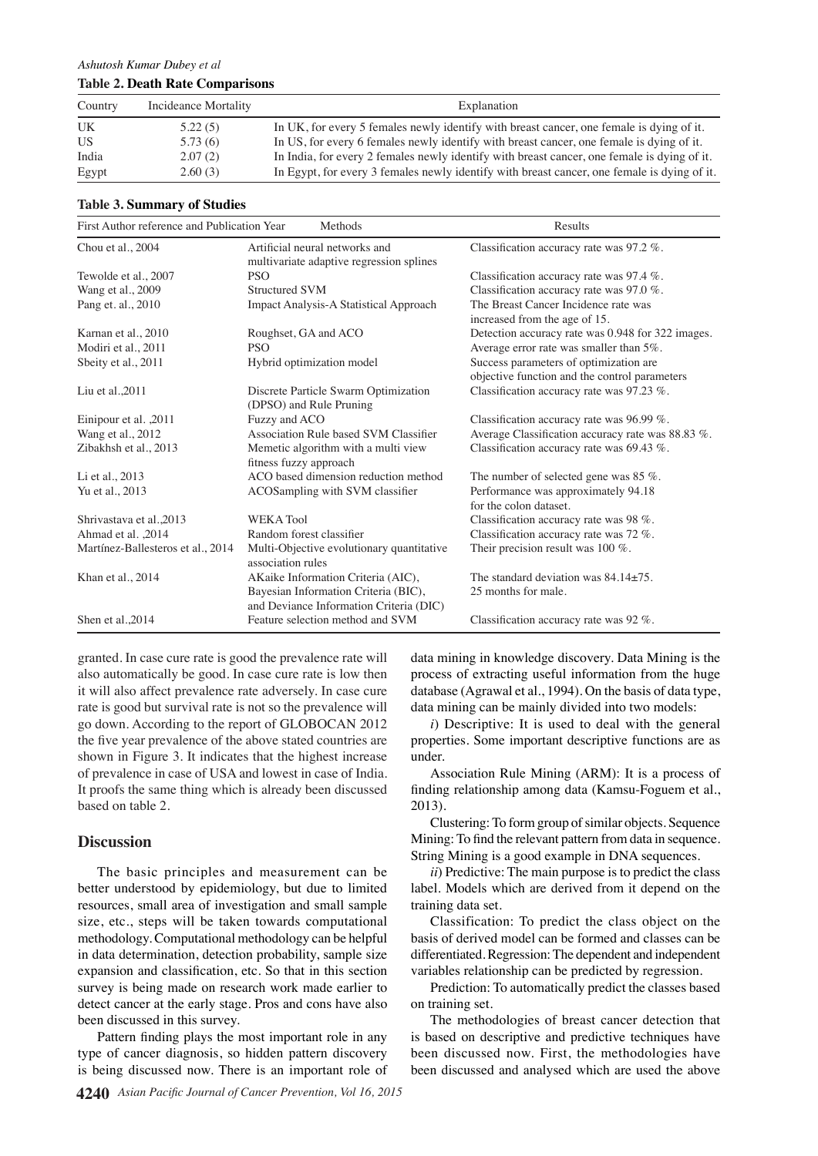| Country | Incideance Mortality | Explanation                                                                                 |
|---------|----------------------|---------------------------------------------------------------------------------------------|
| UK      | 5.22(5)              | In UK, for every 5 females newly identify with breast cancer, one female is dying of it.    |
| US      | 5.73(6)              | In US, for every 6 females newly identify with breast cancer, one female is dying of it.    |
| India   | 2.07(2)              | In India, for every 2 females newly identify with breast cancer, one female is dying of it. |
| Egypt   | 2.60(3)              | In Egypt, for every 3 females newly identify with breast cancer, one female is dying of it. |

#### **Table 3. Summary of Studies**

| First Author reference and Publication Year | Methods                                                                         | Results                                                                                 |
|---------------------------------------------|---------------------------------------------------------------------------------|-----------------------------------------------------------------------------------------|
| Chou et al., 2004                           | Artificial neural networks and<br>multivariate adaptive regression splines      | Classification accuracy rate was 97.2 %.                                                |
| Tewolde et al., 2007                        | <b>PSO</b>                                                                      | Classification accuracy rate was 97.4 %.                                                |
| Wang et al., 2009                           | <b>Structured SVM</b>                                                           | Classification accuracy rate was 97.0 %.                                                |
| Pang et. al., 2010                          | Impact Analysis-A Statistical Approach                                          | The Breast Cancer Incidence rate was<br>increased from the age of 15.                   |
| Karnan et al., 2010                         | Roughset, GA and ACO                                                            | Detection accuracy rate was 0.948 for 322 images.                                       |
| Modiri et al., 2011                         | <b>PSO</b>                                                                      | Average error rate was smaller than 5%.                                                 |
| Sbeity et al., 2011                         | Hybrid optimization model                                                       | Success parameters of optimization are<br>objective function and the control parameters |
| Liu et al., $2011$                          | Discrete Particle Swarm Optimization<br>(DPSO) and Rule Pruning                 | Classification accuracy rate was 97.23 %.                                               |
| Einipour et al. , 2011                      | Fuzzy and ACO                                                                   | Classification accuracy rate was $96.99\%$ .                                            |
| Wang et al., 2012                           | Association Rule based SVM Classifier                                           | Average Classification accuracy rate was 88.83 %.                                       |
| Zibakhsh et al., 2013                       | Memetic algorithm with a multi view<br>fitness fuzzy approach                   | Classification accuracy rate was $69.43\%$ .                                            |
| Li et al., 2013                             | ACO based dimension reduction method                                            | The number of selected gene was $85\%$ .                                                |
| Yu et al., 2013                             | ACOSampling with SVM classifier                                                 | Performance was approximately 94.18<br>for the colon dataset.                           |
| Shrivastava et al., 2013                    | <b>WEKA Tool</b>                                                                | Classification accuracy rate was 98 %.                                                  |
| Ahmad et al. 2014                           | Random forest classifier                                                        | Classification accuracy rate was $72\%$ .                                               |
| Martínez-Ballesteros et al., 2014           | Multi-Objective evolutionary quantitative<br>association rules                  | Their precision result was 100 $\%$ .                                                   |
| Khan et al., 2014                           | AKaike Information Criteria (AIC),                                              | The standard deviation was $84.14+75$ .                                                 |
|                                             | Bayesian Information Criteria (BIC),<br>and Deviance Information Criteria (DIC) | 25 months for male.                                                                     |
| Shen et al., 2014                           | Feature selection method and SVM                                                | Classification accuracy rate was $92\%$ .                                               |

granted. In case cure rate is good the prevalence rate will also automatically be good. In case cure rate is low then it will also affect prevalence rate adversely. In case cure rate is good but survival rate is not so the prevalence will go down. According to the report of GLOBOCAN 2012 the five year prevalence of the above stated countries are shown in Figure 3. It indicates that the highest increase of prevalence in case of USA and lowest in case of India. It proofs the same thing which is already been discussed based on table 2.

## **Discussion**

The basic principles and measurement can be better understood by epidemiology, but due to limited resources, small area of investigation and small sample size, etc., steps will be taken towards computational methodology. Computational methodology can be helpful in data determination, detection probability, sample size expansion and classification, etc. So that in this section survey is being made on research work made earlier to detect cancer at the early stage. Pros and cons have also been discussed in this survey.

Pattern finding plays the most important role in any type of cancer diagnosis, so hidden pattern discovery is being discussed now. There is an important role of data mining in knowledge discovery. Data Mining is the process of extracting useful information from the huge database (Agrawal et al., 1994). On the basis of data type, data mining can be mainly divided into two models:

*i*) Descriptive: It is used to deal with the general properties. Some important descriptive functions are as under.

Association Rule Mining (ARM): It is a process of finding relationship among data (Kamsu-Foguem et al., 2013).

Clustering: To form group of similar objects. Sequence Mining: To find the relevant pattern from data in sequence. String Mining is a good example in DNA sequences.

*ii*) Predictive: The main purpose is to predict the class label. Models which are derived from it depend on the training data set.

Classification: To predict the class object on the basis of derived model can be formed and classes can be differentiated. Regression: The dependent and independent variables relationship can be predicted by regression.

Prediction: To automatically predict the classes based on training set.

The methodologies of breast cancer detection that is based on descriptive and predictive techniques have been discussed now. First, the methodologies have been discussed and analysed which are used the above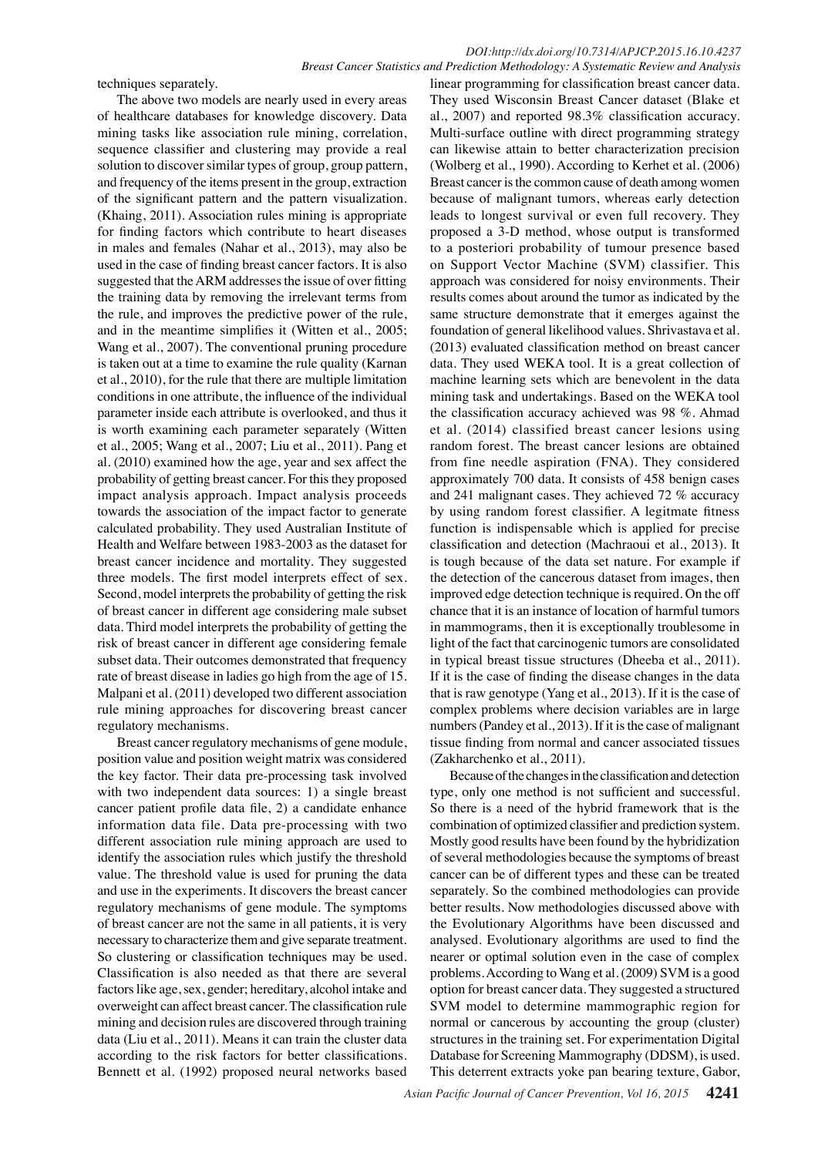techniques separately.

The above two models are nearly used in every areas of healthcare databases for knowledge discovery. Data mining tasks like association rule mining, correlation, sequence classifier and clustering may provide a real solution to discover similar types of group, group pattern, and frequency of the items present in the group, extraction of the significant pattern and the pattern visualization. (Khaing, 2011). Association rules mining is appropriate for finding factors which contribute to heart diseases in males and females (Nahar et al., 2013), may also be used in the case of finding breast cancer factors. It is also suggested that the ARM addresses the issue of over fitting the training data by removing the irrelevant terms from the rule, and improves the predictive power of the rule, and in the meantime simplifies it (Witten et al., 2005; Wang et al., 2007). The conventional pruning procedure is taken out at a time to examine the rule quality (Karnan et al., 2010), for the rule that there are multiple limitation conditions in one attribute, the influence of the individual parameter inside each attribute is overlooked, and thus it is worth examining each parameter separately (Witten et al., 2005; Wang et al., 2007; Liu et al., 2011). Pang et al. (2010) examined how the age, year and sex affect the probability of getting breast cancer. For this they proposed impact analysis approach. Impact analysis proceeds towards the association of the impact factor to generate calculated probability. They used Australian Institute of Health and Welfare between 1983-2003 as the dataset for breast cancer incidence and mortality. They suggested three models. The first model interprets effect of sex. Second, model interprets the probability of getting the risk of breast cancer in different age considering male subset data. Third model interprets the probability of getting the risk of breast cancer in different age considering female subset data. Their outcomes demonstrated that frequency rate of breast disease in ladies go high from the age of 15. Malpani et al. (2011) developed two different association rule mining approaches for discovering breast cancer regulatory mechanisms.

Breast cancer regulatory mechanisms of gene module, position value and position weight matrix was considered the key factor. Their data pre-processing task involved with two independent data sources: 1) a single breast cancer patient profile data file, 2) a candidate enhance information data file. Data pre-processing with two different association rule mining approach are used to identify the association rules which justify the threshold value. The threshold value is used for pruning the data and use in the experiments. It discovers the breast cancer regulatory mechanisms of gene module. The symptoms of breast cancer are not the same in all patients, it is very necessary to characterize them and give separate treatment. So clustering or classification techniques may be used. Classification is also needed as that there are several factors like age, sex, gender; hereditary, alcohol intake and overweight can affect breast cancer. The classification rule mining and decision rules are discovered through training data (Liu et al., 2011). Means it can train the cluster data according to the risk factors for better classifications. Bennett et al. (1992) proposed neural networks based

linear programming for classification breast cancer data. They used Wisconsin Breast Cancer dataset (Blake et al., 2007) and reported 98.3% classification accuracy. Multi-surface outline with direct programming strategy can likewise attain to better characterization precision (Wolberg et al., 1990). According to Kerhet et al. (2006) Breast cancer is the common cause of death among women because of malignant tumors, whereas early detection leads to longest survival or even full recovery. They proposed a 3-D method, whose output is transformed to a posteriori probability of tumour presence based on Support Vector Machine (SVM) classifier. This approach was considered for noisy environments. Their results comes about around the tumor as indicated by the same structure demonstrate that it emerges against the foundation of general likelihood values. Shrivastava et al. (2013) evaluated classification method on breast cancer data. They used WEKA tool. It is a great collection of machine learning sets which are benevolent in the data mining task and undertakings. Based on the WEKA tool the classification accuracy achieved was 98 %. Ahmad et al. (2014) classified breast cancer lesions using random forest. The breast cancer lesions are obtained from fine needle aspiration (FNA). They considered approximately 700 data. It consists of 458 benign cases and 241 malignant cases. They achieved 72 % accuracy by using random forest classifier. A legitmate fitness function is indispensable which is applied for precise classification and detection (Machraoui et al., 2013). It is tough because of the data set nature. For example if the detection of the cancerous dataset from images, then improved edge detection technique is required. On the off chance that it is an instance of location of harmful tumors in mammograms, then it is exceptionally troublesome in light of the fact that carcinogenic tumors are consolidated in typical breast tissue structures (Dheeba et al., 2011). If it is the case of finding the disease changes in the data that is raw genotype (Yang et al., 2013). If it is the case of complex problems where decision variables are in large numbers (Pandey et al., 2013). If it is the case of malignant tissue finding from normal and cancer associated tissues (Zakharchenko et al., 2011).

Because of the changes in the classification and detection type, only one method is not sufficient and successful. So there is a need of the hybrid framework that is the combination of optimized classifier and prediction system. Mostly good results have been found by the hybridization of several methodologies because the symptoms of breast cancer can be of different types and these can be treated separately. So the combined methodologies can provide better results. Now methodologies discussed above with the Evolutionary Algorithms have been discussed and analysed. Evolutionary algorithms are used to find the nearer or optimal solution even in the case of complex problems. According to Wang et al. (2009) SVM is a good option for breast cancer data. They suggested a structured SVM model to determine mammographic region for normal or cancerous by accounting the group (cluster) structures in the training set. For experimentation Digital Database for Screening Mammography (DDSM), is used. This deterrent extracts yoke pan bearing texture, Gabor,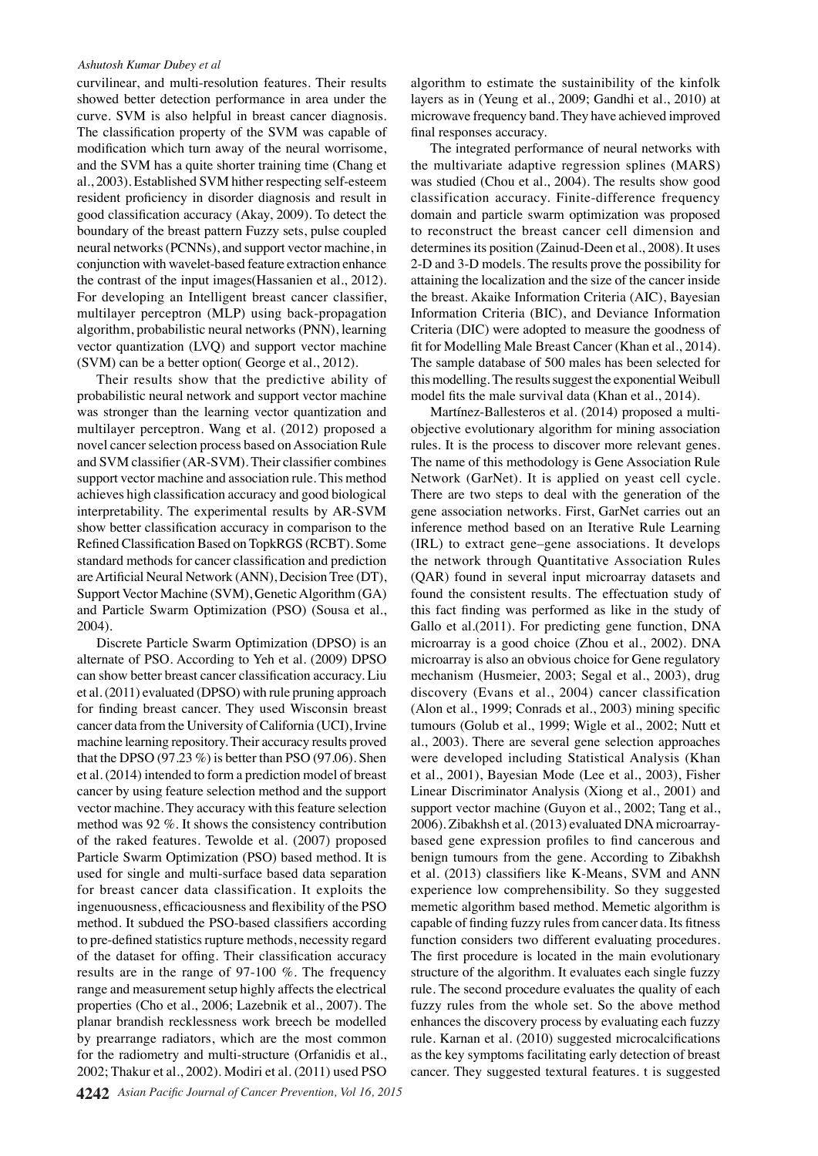#### *Ashutosh Kumar Dubey et al*

curvilinear, and multi-resolution features. Their results showed better detection performance in area under the curve. SVM is also helpful in breast cancer diagnosis. The classification property of the SVM was capable of modification which turn away of the neural worrisome, and the SVM has a quite shorter training time (Chang et al., 2003). Established SVM hither respecting self-esteem resident proficiency in disorder diagnosis and result in good classification accuracy (Akay, 2009). To detect the boundary of the breast pattern Fuzzy sets, pulse coupled neural networks (PCNNs), and support vector machine, in conjunction with wavelet-based feature extraction enhance the contrast of the input images(Hassanien et al., 2012). For developing an Intelligent breast cancer classifier, multilayer perceptron (MLP) using back-propagation algorithm, probabilistic neural networks (PNN), learning vector quantization (LVQ) and support vector machine (SVM) can be a better option( George et al., 2012).

Their results show that the predictive ability of probabilistic neural network and support vector machine was stronger than the learning vector quantization and multilayer perceptron. Wang et al. (2012) proposed a novel cancer selection process based on Association Rule and SVM classifier (AR-SVM). Their classifier combines support vector machine and association rule. This method achieves high classification accuracy and good biological interpretability. The experimental results by AR-SVM show better classification accuracy in comparison to the Refined Classification Based on TopkRGS (RCBT). Some standard methods for cancer classification and prediction are Artificial Neural Network (ANN), Decision Tree (DT), Support Vector Machine (SVM), Genetic Algorithm (GA) and Particle Swarm Optimization (PSO) (Sousa et al., 2004).

Discrete Particle Swarm Optimization (DPSO) is an alternate of PSO. According to Yeh et al. (2009) DPSO can show better breast cancer classification accuracy. Liu et al. (2011) evaluated (DPSO) with rule pruning approach for finding breast cancer. They used Wisconsin breast cancer data from the University of California (UCI), Irvine machine learning repository. Their accuracy results proved that the DPSO  $(97.23\%)$  is better than PSO  $(97.06)$ . Shen et al. (2014) intended to form a prediction model of breast cancer by using feature selection method and the support vector machine. They accuracy with this feature selection method was 92 %. It shows the consistency contribution of the raked features. Tewolde et al. (2007) proposed Particle Swarm Optimization (PSO) based method. It is used for single and multi-surface based data separation for breast cancer data classification. It exploits the ingenuousness, efficaciousness and flexibility of the PSO method. It subdued the PSO-based classifiers according to pre-defined statistics rupture methods, necessity regard of the dataset for offing. Their classification accuracy results are in the range of 97-100 %. The frequency range and measurement setup highly affects the electrical properties (Cho et al., 2006; Lazebnik et al., 2007). The planar brandish recklessness work breech be modelled by prearrange radiators, which are the most common for the radiometry and multi-structure (Orfanidis et al., 2002; Thakur et al., 2002). Modiri et al. (2011) used PSO algorithm to estimate the sustainibility of the kinfolk layers as in (Yeung et al., 2009; Gandhi et al., 2010) at microwave frequency band. They have achieved improved final responses accuracy.

The integrated performance of neural networks with the multivariate adaptive regression splines (MARS) was studied (Chou et al., 2004). The results show good classification accuracy. Finite-difference frequency domain and particle swarm optimization was proposed to reconstruct the breast cancer cell dimension and determines its position (Zainud-Deen et al., 2008). It uses 2-D and 3-D models. The results prove the possibility for attaining the localization and the size of the cancer inside the breast. Akaike Information Criteria (AIC), Bayesian Information Criteria (BIC), and Deviance Information Criteria (DIC) were adopted to measure the goodness of fit for Modelling Male Breast Cancer (Khan et al., 2014). The sample database of 500 males has been selected for this modelling. The results suggest the exponential Weibull model fits the male survival data (Khan et al., 2014).

Martínez-Ballesteros et al. (2014) proposed a multiobjective evolutionary algorithm for mining association rules. It is the process to discover more relevant genes. The name of this methodology is Gene Association Rule Network (GarNet). It is applied on yeast cell cycle. There are two steps to deal with the generation of the gene association networks. First, GarNet carries out an inference method based on an Iterative Rule Learning (IRL) to extract gene–gene associations. It develops the network through Quantitative Association Rules (QAR) found in several input microarray datasets and found the consistent results. The effectuation study of this fact finding was performed as like in the study of Gallo et al.(2011). For predicting gene function, DNA microarray is a good choice (Zhou et al., 2002). DNA microarray is also an obvious choice for Gene regulatory mechanism (Husmeier, 2003; Segal et al., 2003), drug discovery (Evans et al., 2004) cancer classification (Alon et al., 1999; Conrads et al., 2003) mining specific tumours (Golub et al., 1999; Wigle et al., 2002; Nutt et al., 2003). There are several gene selection approaches were developed including Statistical Analysis (Khan et al., 2001), Bayesian Mode (Lee et al., 2003), Fisher Linear Discriminator Analysis (Xiong et al., 2001) and support vector machine (Guyon et al., 2002; Tang et al., 2006). Zibakhsh et al. (2013) evaluated DNA microarraybased gene expression profiles to find cancerous and benign tumours from the gene. According to Zibakhsh et al. (2013) classifiers like K-Means, SVM and ANN experience low comprehensibility. So they suggested memetic algorithm based method. Memetic algorithm is capable of finding fuzzy rules from cancer data. Its fitness function considers two different evaluating procedures. The first procedure is located in the main evolutionary structure of the algorithm. It evaluates each single fuzzy rule. The second procedure evaluates the quality of each fuzzy rules from the whole set. So the above method enhances the discovery process by evaluating each fuzzy rule. Karnan et al. (2010) suggested microcalcifications as the key symptoms facilitating early detection of breast cancer. They suggested textural features. t is suggested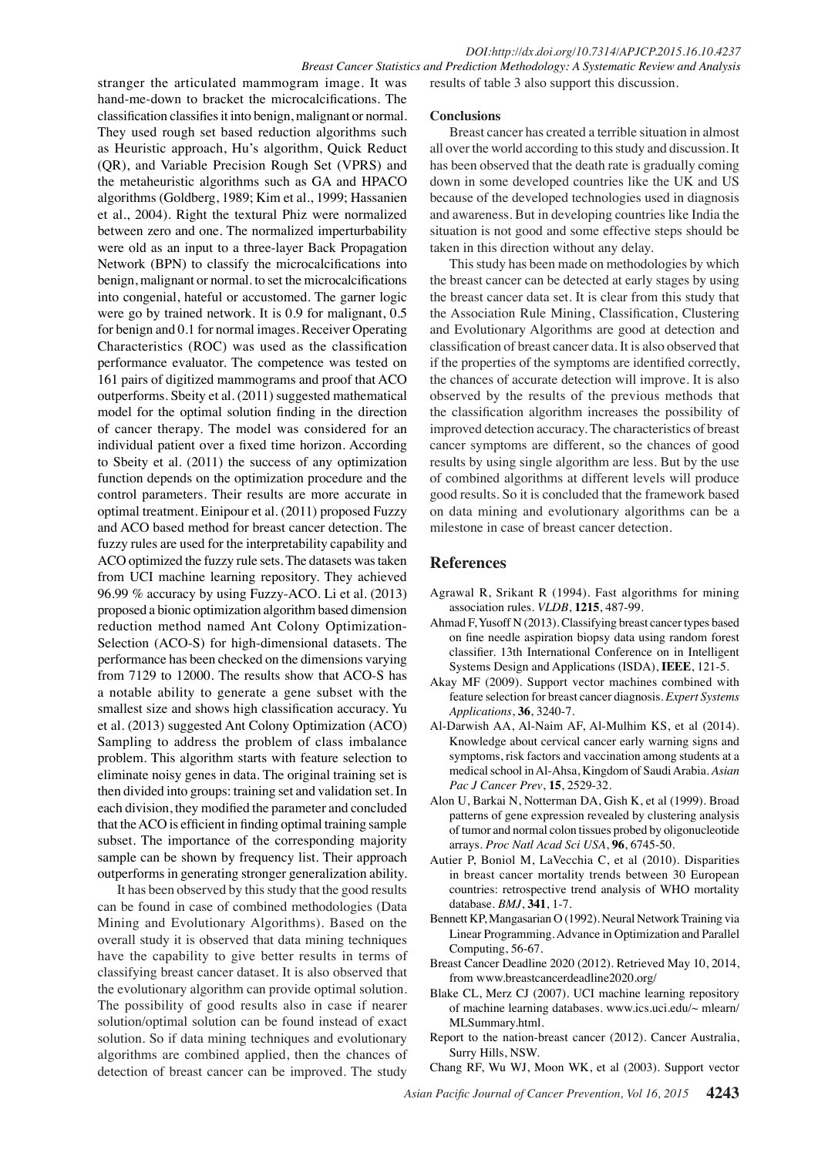stranger the articulated mammogram image. It was hand-me-down to bracket the microcalcifications. The classification classifies it into benign, malignant or normal. They used rough set based reduction algorithms such as Heuristic approach, Hu's algorithm, Quick Reduct (QR), and Variable Precision Rough Set (VPRS) and the metaheuristic algorithms such as GA and HPACO algorithms (Goldberg, 1989; Kim et al., 1999; Hassanien et al., 2004). Right the textural Phiz were normalized between zero and one. The normalized imperturbability were old as an input to a three-layer Back Propagation Network (BPN) to classify the microcalcifications into benign, malignant or normal. to set the microcalcifications into congenial, hateful or accustomed. The garner logic were go by trained network. It is 0.9 for malignant, 0.5 for benign and 0.1 for normal images. Receiver Operating Characteristics (ROC) was used as the classification performance evaluator. The competence was tested on 161 pairs of digitized mammograms and proof that ACO outperforms. Sbeity et al. (2011) suggested mathematical model for the optimal solution finding in the direction of cancer therapy. The model was considered for an individual patient over a fixed time horizon. According to Sbeity et al. (2011) the success of any optimization function depends on the optimization procedure and the control parameters. Their results are more accurate in optimal treatment. Einipour et al. (2011) proposed Fuzzy and ACO based method for breast cancer detection. The fuzzy rules are used for the interpretability capability and ACO optimized the fuzzy rule sets. The datasets was taken from UCI machine learning repository. They achieved 96.99 % accuracy by using Fuzzy-ACO. Li et al. (2013) proposed a bionic optimization algorithm based dimension reduction method named Ant Colony Optimization-Selection (ACO-S) for high-dimensional datasets. The performance has been checked on the dimensions varying from 7129 to 12000. The results show that ACO-S has a notable ability to generate a gene subset with the smallest size and shows high classification accuracy. Yu et al. (2013) suggested Ant Colony Optimization (ACO) Sampling to address the problem of class imbalance problem. This algorithm starts with feature selection to eliminate noisy genes in data. The original training set is then divided into groups: training set and validation set. In each division, they modified the parameter and concluded that the ACO is efficient in finding optimal training sample subset. The importance of the corresponding majority sample can be shown by frequency list. Their approach outperforms in generating stronger generalization ability.

It has been observed by this study that the good results can be found in case of combined methodologies (Data Mining and Evolutionary Algorithms). Based on the overall study it is observed that data mining techniques have the capability to give better results in terms of classifying breast cancer dataset. It is also observed that the evolutionary algorithm can provide optimal solution. The possibility of good results also in case if nearer solution/optimal solution can be found instead of exact solution. So if data mining techniques and evolutionary algorithms are combined applied, then the chances of detection of breast cancer can be improved. The study

#### **Conclusions**

Breast cancer has created a terrible situation in almost all over the world according to this study and discussion. It has been observed that the death rate is gradually coming down in some developed countries like the UK and US because of the developed technologies used in diagnosis and awareness. But in developing countries like India the situation is not good and some effective steps should be taken in this direction without any delay.

This study has been made on methodologies by which the breast cancer can be detected at early stages by using the breast cancer data set. It is clear from this study that the Association Rule Mining, Classification, Clustering and Evolutionary Algorithms are good at detection and classification of breast cancer data. It is also observed that if the properties of the symptoms are identified correctly, the chances of accurate detection will improve. It is also observed by the results of the previous methods that the classification algorithm increases the possibility of improved detection accuracy. The characteristics of breast cancer symptoms are different, so the chances of good results by using single algorithm are less. But by the use of combined algorithms at different levels will produce good results. So it is concluded that the framework based on data mining and evolutionary algorithms can be a milestone in case of breast cancer detection.

### **References**

- Agrawal R, Srikant R (1994). Fast algorithms for mining association rules. *VLDB*, **1215**, 487-99.
- Ahmad F, Yusoff N (2013). Classifying breast cancer types based on fine needle aspiration biopsy data using random forest classifier. 13th International Conference on in Intelligent Systems Design and Applications (ISDA), **IEEE**, 121-5.
- Akay MF (2009). Support vector machines combined with feature selection for breast cancer diagnosis. *Expert Systems Applications*, **36**, 3240-7.
- Al-Darwish AA, Al-Naim AF, Al-Mulhim KS, et al (2014). Knowledge about cervical cancer early warning signs and symptoms, risk factors and vaccination among students at a medical school in Al-Ahsa, Kingdom of Saudi Arabia. *Asian Pac J Cancer Prev*, **15**, 2529-32.
- Alon U, Barkai N, Notterman DA, Gish K, et al (1999). Broad patterns of gene expression revealed by clustering analysis of tumor and normal colon tissues probed by oligonucleotide arrays. *Proc Natl Acad Sci USA*, **96**, 6745-50.
- Autier P, Boniol M, LaVecchia C, et al (2010). Disparities in breast cancer mortality trends between 30 European countries: retrospective trend analysis of WHO mortality database. *BMJ*, **341**, 1-7.
- Bennett KP, Mangasarian O (1992). Neural Network Training via Linear Programming. Advance in Optimization and Parallel Computing, 56-67.
- Breast Cancer Deadline 2020 (2012). Retrieved May 10, 2014, from www.breastcancerdeadline2020.org/
- Blake CL, Merz CJ (2007). UCI machine learning repository of machine learning databases. www.ics.uci.edu/~ mlearn/ MLSummary.html.
- Report to the nation-breast cancer (2012). Cancer Australia, Surry Hills, NSW.
- Chang RF, Wu WJ, Moon WK, et al (2003). Support vector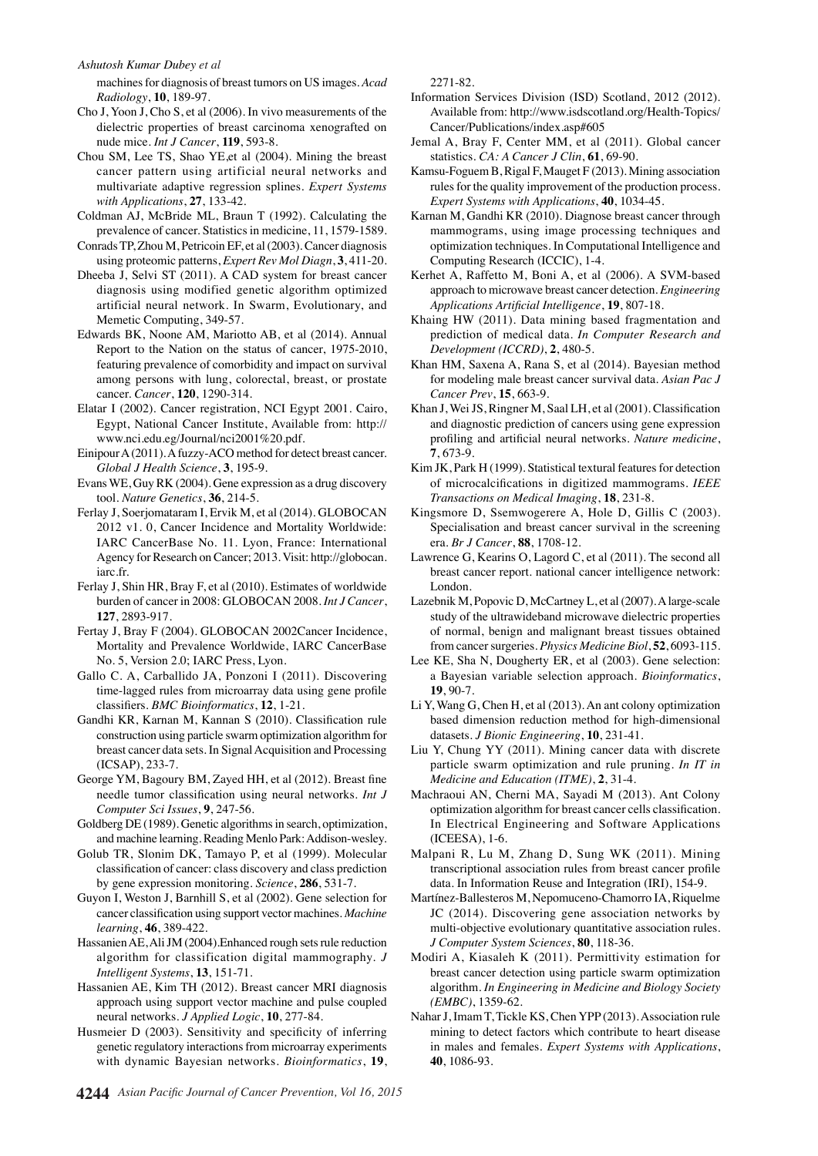#### *Ashutosh Kumar Dubey et al*

machines for diagnosis of breast tumors on US images. *Acad Radiology*, **10**, 189-97.

- Cho J, Yoon J, Cho S, et al (2006). In vivo measurements of the dielectric properties of breast carcinoma xenografted on nude mice. *Int J Cancer*, **119**, 593-8.
- Chou SM, Lee TS, Shao YE,et al (2004). Mining the breast cancer pattern using artificial neural networks and multivariate adaptive regression splines. *Expert Systems with Applications*, **27**, 133-42.
- Coldman AJ, McBride ML, Braun T (1992). Calculating the prevalence of cancer. Statistics in medicine, 11, 1579-1589.
- Conrads TP, Zhou M, Petricoin EF, et al (2003). Cancer diagnosis using proteomic patterns, *Expert Rev Mol Diagn*, **3**, 411-20.
- Dheeba J, Selvi ST (2011). A CAD system for breast cancer diagnosis using modified genetic algorithm optimized artificial neural network. In Swarm, Evolutionary, and Memetic Computing, 349-57.
- Edwards BK, Noone AM, Mariotto AB, et al (2014). Annual Report to the Nation on the status of cancer, 1975-2010, featuring prevalence of comorbidity and impact on survival among persons with lung, colorectal, breast, or prostate cancer. *Cancer*, **120**, 1290-314.
- Elatar I (2002). Cancer registration, NCI Egypt 2001. Cairo, Egypt, National Cancer Institute, Available from: http:// www.nci.edu.eg/Journal/nci2001%20.pdf.
- Einipour A (2011). A fuzzy-ACO method for detect breast cancer. *Global J Health Science*, **3**, 195-9.
- Evans WE, Guy RK (2004). Gene expression as a drug discovery tool. *Nature Genetics*, **36**, 214-5.
- Ferlay J, Soerjomataram I, Ervik M, et al (2014). GLOBOCAN 2012 v1. 0, Cancer Incidence and Mortality Worldwide: IARC CancerBase No. 11. Lyon, France: International Agency for Research on Cancer; 2013. Visit: http://globocan. iarc.fr.
- Ferlay J, Shin HR, Bray F, et al (2010). Estimates of worldwide burden of cancer in 2008: GLOBOCAN 2008. *Int J Cancer*, **127**, 2893-917.
- Fertay J, Bray F (2004). GLOBOCAN 2002Cancer Incidence, Mortality and Prevalence Worldwide, IARC CancerBase No. 5, Version 2.0; IARC Press, Lyon.
- Gallo C. A, Carballido JA, Ponzoni I (2011). Discovering time-lagged rules from microarray data using gene profile classifiers. *BMC Bioinformatics*, **12**, 1-21.
- Gandhi KR, Karnan M, Kannan S (2010). Classification rule construction using particle swarm optimization algorithm for breast cancer data sets. In Signal Acquisition and Processing (ICSAP), 233-7.
- George YM, Bagoury BM, Zayed HH, et al (2012). Breast fine needle tumor classification using neural networks. *Int J Computer Sci Issues*, **9**, 247-56.
- Goldberg DE (1989). Genetic algorithms in search, optimization, and machine learning. Reading Menlo Park: Addison-wesley.
- Golub TR, Slonim DK, Tamayo P, et al (1999). Molecular classification of cancer: class discovery and class prediction by gene expression monitoring. *Science*, **286**, 531-7.
- Guyon I, Weston J, Barnhill S, et al (2002). Gene selection for cancer classification using support vector machines. *Machine learning*, **46**, 389-422.
- Hassanien AE, Ali JM (2004).Enhanced rough sets rule reduction algorithm for classification digital mammography. *J Intelligent Systems*, **13**, 151-71.
- Hassanien AE, Kim TH (2012). Breast cancer MRI diagnosis approach using support vector machine and pulse coupled neural networks. *J Applied Logic*, **10**, 277-84.
- Husmeier D (2003). Sensitivity and specificity of inferring genetic regulatory interactions from microarray experiments with dynamic Bayesian networks. *Bioinformatics*, **19**,

2271-82.

- Information Services Division (ISD) Scotland, 2012 (2012). Available from: http://www.isdscotland.org/Health-Topics/ Cancer/Publications/index.asp#605
- Jemal A, Bray F, Center MM, et al (2011). Global cancer statistics. *CA: A Cancer J Clin*, **61**, 69-90.
- Kamsu-Foguem B, Rigal F, Mauget F (2013). Mining association rules for the quality improvement of the production process. *Expert Systems with Applications*, **40**, 1034-45.
- Karnan M, Gandhi KR (2010). Diagnose breast cancer through mammograms, using image processing techniques and optimization techniques. In Computational Intelligence and Computing Research (ICCIC), 1-4.
- Kerhet A, Raffetto M, Boni A, et al (2006). A SVM-based approach to microwave breast cancer detection. *Engineering Applications Artificial Intelligence*, **19**, 807-18.
- Khaing HW (2011). Data mining based fragmentation and prediction of medical data. *In Computer Research and Development (ICCRD)*, **2**, 480-5.
- Khan HM, Saxena A, Rana S, et al (2014). Bayesian method for modeling male breast cancer survival data. *Asian Pac J Cancer Prev*, **15**, 663-9.
- Khan J, Wei JS, Ringner M, Saal LH, et al (2001). Classification and diagnostic prediction of cancers using gene expression profiling and artificial neural networks. *Nature medicine*, **7**, 673-9.
- Kim JK, Park H (1999). Statistical textural features for detection of microcalcifications in digitized mammograms. *IEEE Transactions on Medical Imaging*, **18**, 231-8.
- Kingsmore D, Ssemwogerere A, Hole D, Gillis C (2003). Specialisation and breast cancer survival in the screening era. *Br J Cancer*, **88**, 1708-12.
- Lawrence G, Kearins O, Lagord C, et al (2011). The second all breast cancer report. national cancer intelligence network: London.
- Lazebnik M, Popovic D, McCartney L, et al (2007). A large-scale study of the ultrawideband microwave dielectric properties of normal, benign and malignant breast tissues obtained from cancer surgeries. *Physics Medicine Biol*, **52**, 6093-115.
- Lee KE, Sha N, Dougherty ER, et al (2003). Gene selection: a Bayesian variable selection approach. *Bioinformatics*, **19**, 90-7.
- Li Y, Wang G, Chen H, et al (2013). An ant colony optimization based dimension reduction method for high-dimensional datasets. *J Bionic Engineering*, **10**, 231-41.
- Liu Y, Chung YY (2011). Mining cancer data with discrete particle swarm optimization and rule pruning. *In IT in Medicine and Education (ITME)*, **2**, 31-4.
- Machraoui AN, Cherni MA, Sayadi M (2013). Ant Colony optimization algorithm for breast cancer cells classification. In Electrical Engineering and Software Applications (ICEESA), 1-6.
- Malpani R, Lu M, Zhang D, Sung WK (2011). Mining transcriptional association rules from breast cancer profile data. In Information Reuse and Integration (IRI), 154-9.
- Martínez-Ballesteros M, Nepomuceno-Chamorro IA, Riquelme JC (2014). Discovering gene association networks by multi-objective evolutionary quantitative association rules. *J Computer System Sciences*, **80**, 118-36.
- Modiri A, Kiasaleh K (2011). Permittivity estimation for breast cancer detection using particle swarm optimization algorithm. *In Engineering in Medicine and Biology Society (EMBC)*, 1359-62.
- Nahar J, Imam T, Tickle KS, Chen YPP (2013). Association rule mining to detect factors which contribute to heart disease in males and females. *Expert Systems with Applications*, **40**, 1086-93.